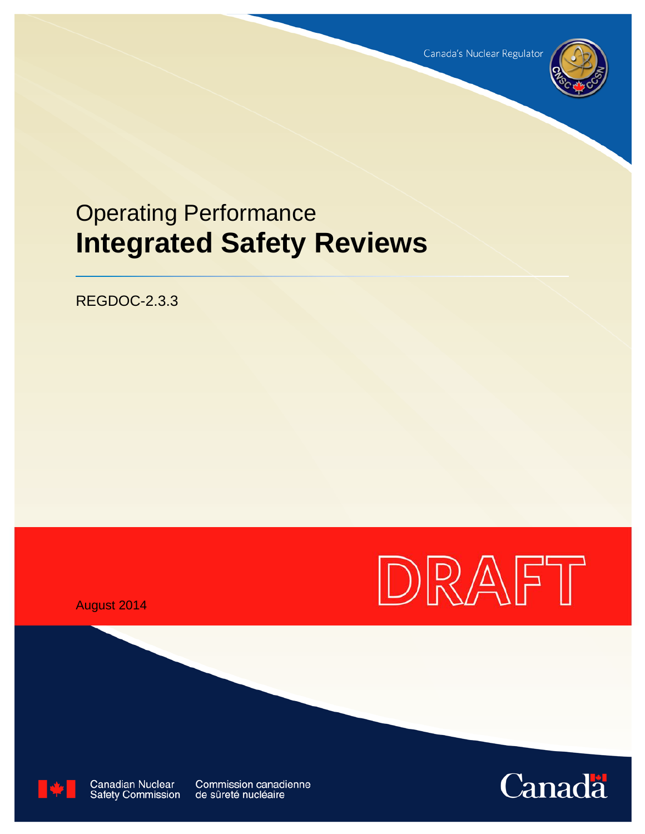

# Operating Performance **Integrated Safety Reviews**

REGDOC-2.3.3



August 2014



**Canadian Nuclear** Safety Commission

**Commission canadienne** de sûreté nucléaire

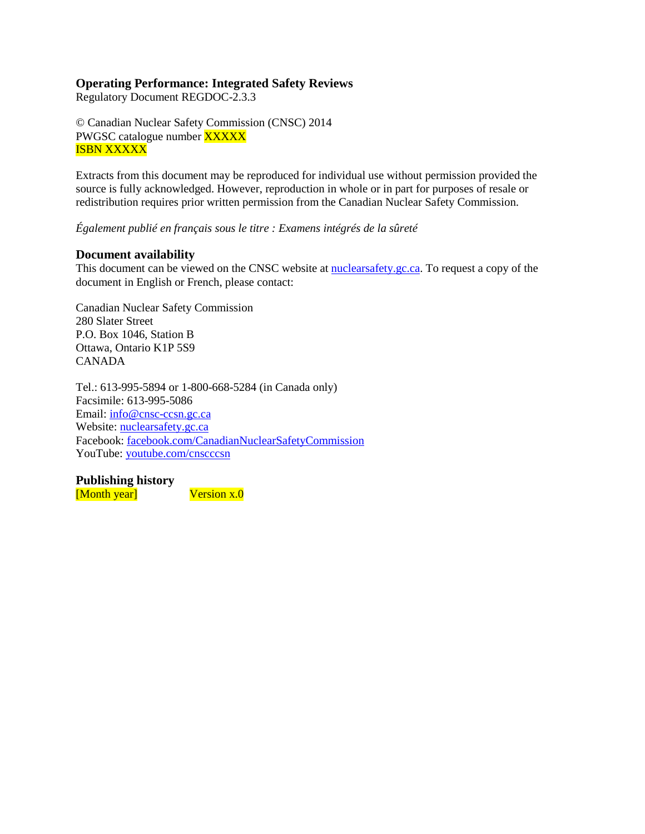# **Operating Performance: Integrated Safety Reviews**

Regulatory Document REGDOC-2.3.3

© Canadian Nuclear Safety Commission (CNSC) 2014 PWGSC catalogue number **XXXXX** ISBN XXXXX

Extracts from this document may be reproduced for individual use without permission provided the source is fully acknowledged. However, reproduction in whole or in part for purposes of resale or redistribution requires prior written permission from the Canadian Nuclear Safety Commission.

*Également publié en français sous le titre : Examens intégrés de la sûreté*

## **Document availability**

This document can be viewed on the CNSC website at **nuclearsafety** gc.ca. To request a copy of the document in English or French, please contact:

Canadian Nuclear Safety Commission 280 Slater Street P.O. Box 1046, Station B Ottawa, Ontario K1P 5S9 CANADA

Tel.: 613-995-5894 or 1-800-668-5284 (in Canada only) Facsimile: 613-995-5086 Email: [info@cnsc-ccsn.gc.ca](mailto:info@cnsc-ccsn.gc.ca) Website: [nuclearsafety.gc.ca](http://www.nuclearsafety.gc.ca/) Facebook: [facebook.com/CanadianNuclearSafetyCommission](http://www.facebook.com/CanadianNuclearSafetyCommission) YouTube: [youtube.com/cnscccsn](http://www.youtube.com/cnscccsn)

**Publishing history** [Month year] Version x.0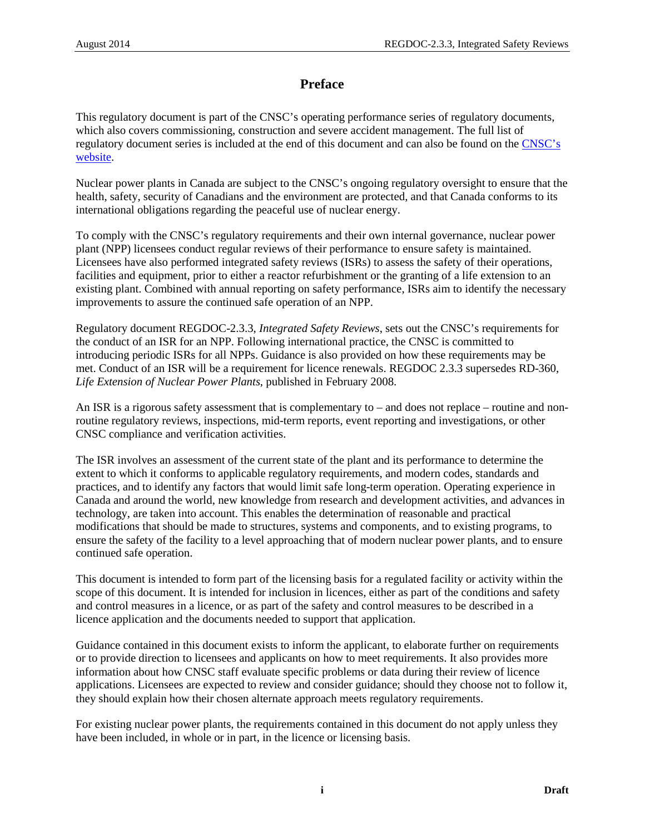# **Preface**

This regulatory document is part of the CNSC's operating performance series of regulatory documents, which also covers commissioning, construction and severe accident management. The full list of regulatory document series is included at the end of this document and can also be found on the [CNSC's](http://www.nuclearsafety.gc.ca/eng/acts-and-regulations/regulatory-documents/index.cfm)  [website.](http://www.nuclearsafety.gc.ca/eng/acts-and-regulations/regulatory-documents/index.cfm)

Nuclear power plants in Canada are subject to the CNSC's ongoing regulatory oversight to ensure that the health, safety, security of Canadians and the environment are protected, and that Canada conforms to its international obligations regarding the peaceful use of nuclear energy.

To comply with the CNSC's regulatory requirements and their own internal governance, nuclear power plant (NPP) licensees conduct regular reviews of their performance to ensure safety is maintained. Licensees have also performed integrated safety reviews (ISRs) to assess the safety of their operations, facilities and equipment, prior to either a reactor refurbishment or the granting of a life extension to an existing plant. Combined with annual reporting on safety performance, ISRs aim to identify the necessary improvements to assure the continued safe operation of an NPP.

Regulatory document REGDOC-2.3.3, *Integrated Safety Reviews*, sets out the CNSC's requirements for the conduct of an ISR for an NPP. Following international practice, the CNSC is committed to introducing periodic ISRs for all NPPs. Guidance is also provided on how these requirements may be met. Conduct of an ISR will be a requirement for licence renewals. REGDOC 2.3.3 supersedes RD-360, *Life Extension of Nuclear Power Plants*, published in February 2008.

An ISR is a rigorous safety assessment that is complementary to – and does not replace – routine and nonroutine regulatory reviews, inspections, mid-term reports, event reporting and investigations, or other CNSC compliance and verification activities.

The ISR involves an assessment of the current state of the plant and its performance to determine the extent to which it conforms to applicable regulatory requirements, and modern codes, standards and practices, and to identify any factors that would limit safe long-term operation. Operating experience in Canada and around the world, new knowledge from research and development activities, and advances in technology, are taken into account. This enables the determination of reasonable and practical modifications that should be made to structures, systems and components, and to existing programs, to ensure the safety of the facility to a level approaching that of modern nuclear power plants, and to ensure continued safe operation.

This document is intended to form part of the licensing basis for a regulated facility or activity within the scope of this document. It is intended for inclusion in licences, either as part of the conditions and safety and control measures in a licence, or as part of the safety and control measures to be described in a licence application and the documents needed to support that application.

Guidance contained in this document exists to inform the applicant, to elaborate further on requirements or to provide direction to licensees and applicants on how to meet requirements. It also provides more information about how CNSC staff evaluate specific problems or data during their review of licence applications. Licensees are expected to review and consider guidance; should they choose not to follow it, they should explain how their chosen alternate approach meets regulatory requirements.

For existing nuclear power plants, the requirements contained in this document do not apply unless they have been included, in whole or in part, in the licence or licensing basis.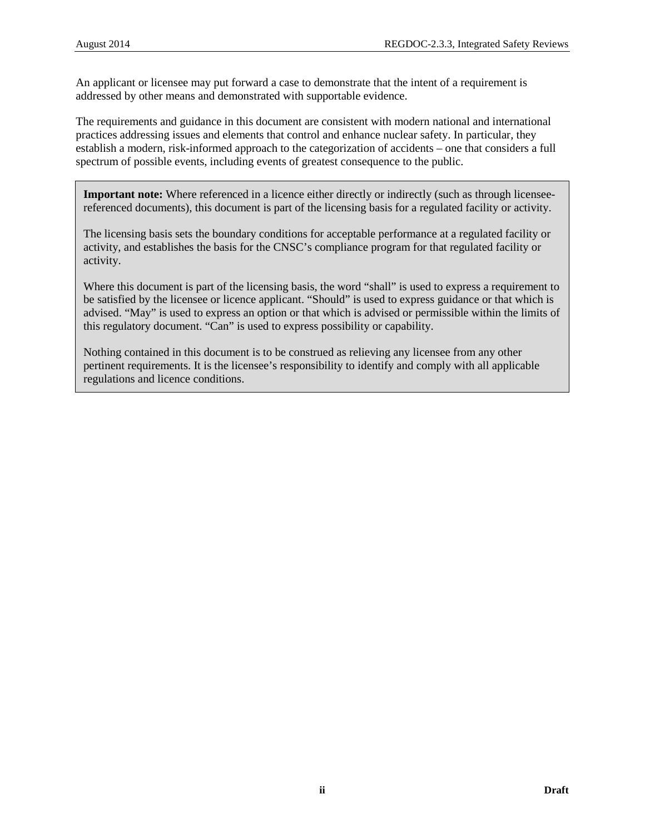An applicant or licensee may put forward a case to demonstrate that the intent of a requirement is addressed by other means and demonstrated with supportable evidence.

The requirements and guidance in this document are consistent with modern national and international practices addressing issues and elements that control and enhance nuclear safety. In particular, they establish a modern, risk-informed approach to the categorization of accidents – one that considers a full spectrum of possible events, including events of greatest consequence to the public.

**Important note:** Where referenced in a licence either directly or indirectly (such as through licenseereferenced documents), this document is part of the licensing basis for a regulated facility or activity.

The licensing basis sets the boundary conditions for acceptable performance at a regulated facility or activity, and establishes the basis for the CNSC's compliance program for that regulated facility or activity.

Where this document is part of the licensing basis, the word "shall" is used to express a requirement to be satisfied by the licensee or licence applicant. "Should" is used to express guidance or that which is advised. "May" is used to express an option or that which is advised or permissible within the limits of this regulatory document. "Can" is used to express possibility or capability.

Nothing contained in this document is to be construed as relieving any licensee from any other pertinent requirements. It is the licensee's responsibility to identify and comply with all applicable regulations and licence conditions.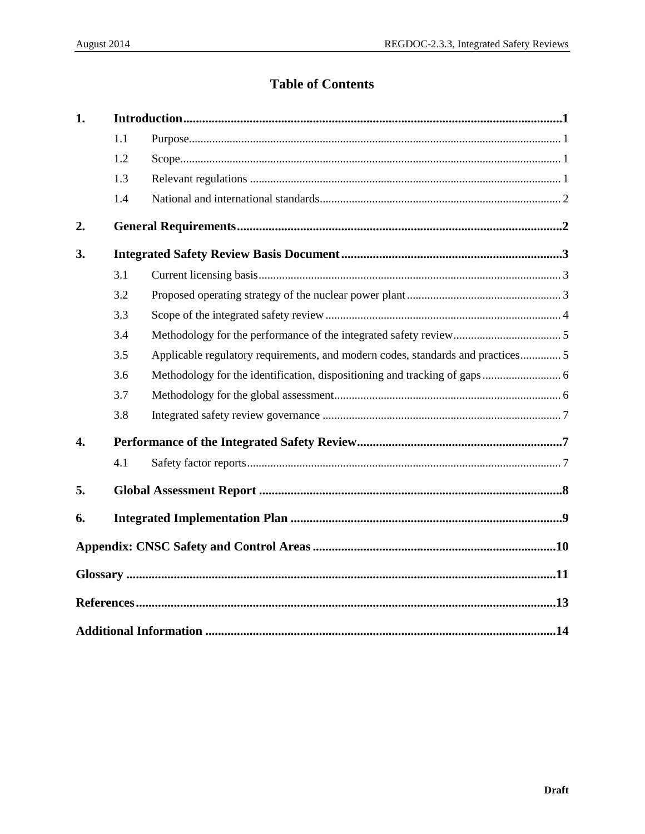# **Table of Contents**

| 1.               |     |                                                                                 |  |
|------------------|-----|---------------------------------------------------------------------------------|--|
|                  | 1.1 |                                                                                 |  |
|                  | 1.2 |                                                                                 |  |
|                  | 1.3 |                                                                                 |  |
|                  | 1.4 |                                                                                 |  |
| 2.               |     |                                                                                 |  |
| 3.               |     |                                                                                 |  |
|                  | 3.1 |                                                                                 |  |
|                  | 3.2 |                                                                                 |  |
|                  | 3.3 |                                                                                 |  |
|                  | 3.4 |                                                                                 |  |
|                  | 3.5 | Applicable regulatory requirements, and modern codes, standards and practices 5 |  |
|                  | 3.6 |                                                                                 |  |
|                  | 3.7 |                                                                                 |  |
|                  | 3.8 |                                                                                 |  |
| $\overline{4}$ . |     |                                                                                 |  |
|                  | 4.1 |                                                                                 |  |
| 5.               |     |                                                                                 |  |
| 6.               |     |                                                                                 |  |
|                  |     |                                                                                 |  |
|                  |     | $\frac{11}{11}$                                                                 |  |
|                  |     |                                                                                 |  |
|                  |     |                                                                                 |  |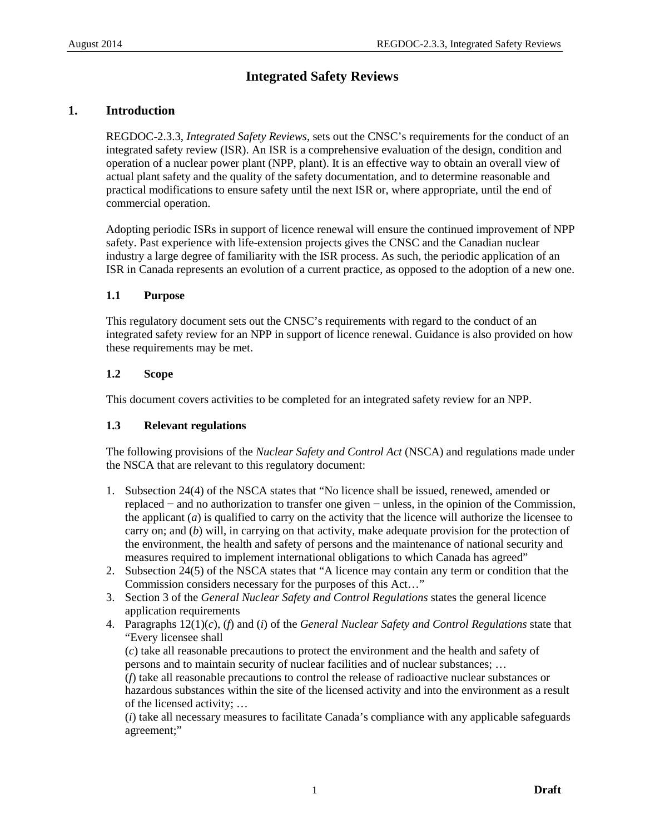# **Integrated Safety Reviews**

# <span id="page-5-0"></span>**1. Introduction**

REGDOC-2.3.3, *Integrated Safety Reviews*, sets out the CNSC's requirements for the conduct of an integrated safety review (ISR). An ISR is a comprehensive evaluation of the design, condition and operation of a nuclear power plant (NPP, plant). It is an effective way to obtain an overall view of actual plant safety and the quality of the safety documentation, and to determine reasonable and practical modifications to ensure safety until the next ISR or, where appropriate, until the end of commercial operation.

Adopting periodic ISRs in support of licence renewal will ensure the continued improvement of NPP safety. Past experience with life-extension projects gives the CNSC and the Canadian nuclear industry a large degree of familiarity with the ISR process. As such, the periodic application of an ISR in Canada represents an evolution of a current practice, as opposed to the adoption of a new one.

# <span id="page-5-1"></span>**1.1 Purpose**

This regulatory document sets out the CNSC's requirements with regard to the conduct of an integrated safety review for an NPP in support of licence renewal. Guidance is also provided on how these requirements may be met.

# <span id="page-5-2"></span>**1.2 Scope**

This document covers activities to be completed for an integrated safety review for an NPP.

# <span id="page-5-3"></span>**1.3 Relevant regulations**

The following provisions of the *Nuclear Safety and Control Act* (NSCA) and regulations made under the NSCA that are relevant to this regulatory document:

- 1. Subsection 24(4) of the NSCA states that "No licence shall be issued, renewed, amended or replaced − and no authorization to transfer one given − unless, in the opinion of the Commission, the applicant (*a*) is qualified to carry on the activity that the licence will authorize the licensee to carry on; and (*b*) will, in carrying on that activity, make adequate provision for the protection of the environment, the health and safety of persons and the maintenance of national security and measures required to implement international obligations to which Canada has agreed"
- 2. Subsection 24(5) of the NSCA states that "A licence may contain any term or condition that the Commission considers necessary for the purposes of this Act…"
- 3. Section 3 of the *General Nuclear Safety and Control Regulations* states the general licence application requirements
- 4. Paragraphs 12(1)(*c*), (*f*) and (*i*) of the *General Nuclear Safety and Control Regulations* state that "Every licensee shall

(*c*) take all reasonable precautions to protect the environment and the health and safety of persons and to maintain security of nuclear facilities and of nuclear substances; … (*f*) take all reasonable precautions to control the release of radioactive nuclear substances or hazardous substances within the site of the licensed activity and into the environment as a result of the licensed activity; …

(*i*) take all necessary measures to facilitate Canada's compliance with any applicable safeguards agreement;"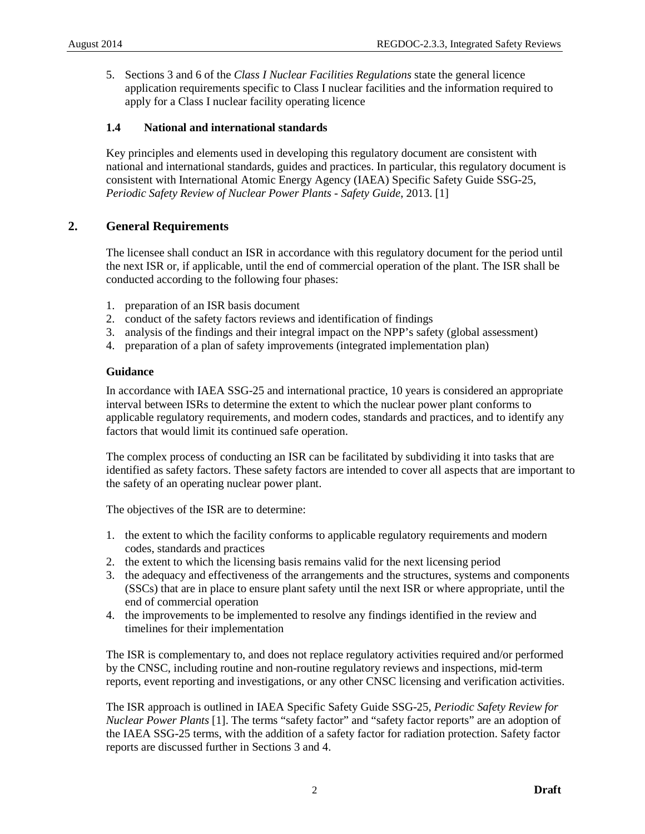5. Sections 3 and 6 of the *Class I Nuclear Facilities Regulations* state the general licence application requirements specific to Class I nuclear facilities and the information required to apply for a Class I nuclear facility operating licence

# <span id="page-6-0"></span>**1.4 National and international standards**

Key principles and elements used in developing this regulatory document are consistent with national and international standards, guides and practices. In particular, this regulatory document is consistent with International Atomic Energy Agency (IAEA) Specific Safety Guide SSG-25, *Periodic Safety Review of Nuclear Power Plants - Safety Guide*, 2013. [1]

# <span id="page-6-1"></span>**2. General Requirements**

The licensee shall conduct an ISR in accordance with this regulatory document for the period until the next ISR or, if applicable, until the end of commercial operation of the plant. The ISR shall be conducted according to the following four phases:

- 1. preparation of an ISR basis document
- 2. conduct of the safety factors reviews and identification of findings
- 3. analysis of the findings and their integral impact on the NPP's safety (global assessment)
- 4. preparation of a plan of safety improvements (integrated implementation plan)

# **Guidance**

In accordance with IAEA SSG-25 and international practice, 10 years is considered an appropriate interval between ISRs to determine the extent to which the nuclear power plant conforms to applicable regulatory requirements, and modern codes, standards and practices, and to identify any factors that would limit its continued safe operation.

The complex process of conducting an ISR can be facilitated by subdividing it into tasks that are identified as safety factors. These safety factors are intended to cover all aspects that are important to the safety of an operating nuclear power plant.

The objectives of the ISR are to determine:

- 1. the extent to which the facility conforms to applicable regulatory requirements and modern codes, standards and practices
- 2. the extent to which the licensing basis remains valid for the next licensing period
- 3. the adequacy and effectiveness of the arrangements and the structures, systems and components (SSCs) that are in place to ensure plant safety until the next ISR or where appropriate, until the end of commercial operation
- 4. the improvements to be implemented to resolve any findings identified in the review and timelines for their implementation

The ISR is complementary to, and does not replace regulatory activities required and/or performed by the CNSC, including routine and non-routine regulatory reviews and inspections, mid-term reports, event reporting and investigations, or any other CNSC licensing and verification activities.

The ISR approach is outlined in IAEA Specific Safety Guide SSG-25, *Periodic Safety Review for Nuclear Power Plants* [1]. The terms "safety factor" and "safety factor reports" are an adoption of the IAEA SSG-25 terms, with the addition of a safety factor for radiation protection. Safety factor reports are discussed further in Sections [3](#page-7-0) and [4.](#page-11-1)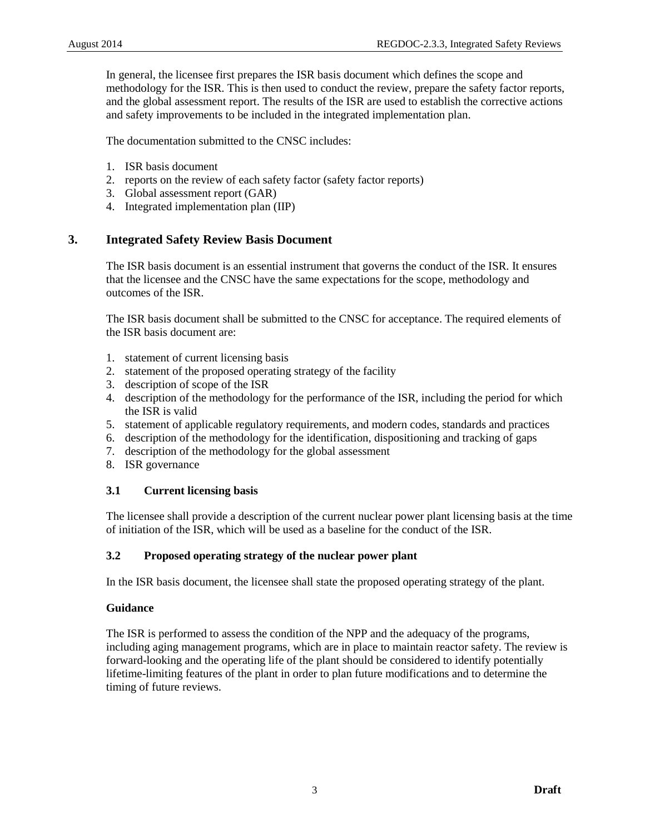In general, the licensee first prepares the ISR basis document which defines the scope and methodology for the ISR. This is then used to conduct the review, prepare the safety factor reports, and the global assessment report. The results of the ISR are used to establish the corrective actions and safety improvements to be included in the integrated implementation plan.

The documentation submitted to the CNSC includes:

- 1. ISR basis document
- 2. reports on the review of each safety factor (safety factor reports)
- 3. Global assessment report (GAR)
- 4. Integrated implementation plan (IIP)

# <span id="page-7-0"></span>**3. Integrated Safety Review Basis Document**

The ISR basis document is an essential instrument that governs the conduct of the ISR. It ensures that the licensee and the CNSC have the same expectations for the scope, methodology and outcomes of the ISR.

The ISR basis document shall be submitted to the CNSC for acceptance. The required elements of the ISR basis document are:

- 1. statement of current licensing basis
- 2. statement of the proposed operating strategy of the facility
- 3. description of scope of the ISR
- 4. description of the methodology for the performance of the ISR, including the period for which the ISR is valid
- 5. statement of applicable regulatory requirements, and modern codes, standards and practices
- 6. description of the methodology for the identification, dispositioning and tracking of gaps
- 7. description of the methodology for the global assessment
- 8. ISR governance

## <span id="page-7-1"></span>**3.1 Current licensing basis**

The licensee shall provide a description of the current nuclear power plant licensing basis at the time of initiation of the ISR, which will be used as a baseline for the conduct of the ISR.

# <span id="page-7-2"></span>**3.2 Proposed operating strategy of the nuclear power plant**

In the ISR basis document, the licensee shall state the proposed operating strategy of the plant.

## **Guidance**

The ISR is performed to assess the condition of the NPP and the adequacy of the programs, including aging management programs, which are in place to maintain reactor safety. The review is forward-looking and the operating life of the plant should be considered to identify potentially lifetime-limiting features of the plant in order to plan future modifications and to determine the timing of future reviews.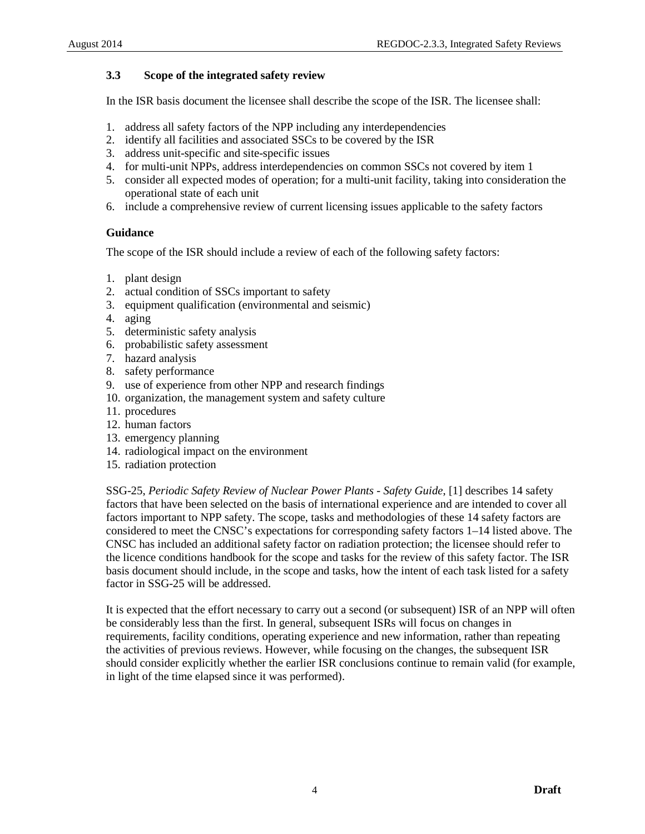# <span id="page-8-0"></span>**3.3 Scope of the integrated safety review**

In the ISR basis document the licensee shall describe the scope of the ISR. The licensee shall:

- 1. address all safety factors of the NPP including any interdependencies
- 2. identify all facilities and associated SSCs to be covered by the ISR
- 3. address unit-specific and site-specific issues
- 4. for multi-unit NPPs, address interdependencies on common SSCs not covered by item 1
- 5. consider all expected modes of operation; for a multi-unit facility, taking into consideration the operational state of each unit
- 6. include a comprehensive review of current licensing issues applicable to the safety factors

#### **Guidance**

The scope of the ISR should include a review of each of the following safety factors:

- 1. plant design
- 2. actual condition of SSCs important to safety
- 3. equipment qualification (environmental and seismic)
- 4. aging
- 5. deterministic safety analysis
- 6. probabilistic safety assessment
- 7. hazard analysis
- 8. safety performance
- 9. use of experience from other NPP and research findings
- 10. organization, the management system and safety culture
- 11. procedures
- 12. human factors
- 13. emergency planning
- 14. radiological impact on the environment
- 15. radiation protection

SSG-25, *Periodic Safety Review of Nuclear Power Plants - Safety Guide*, [1] describes 14 safety factors that have been selected on the basis of international experience and are intended to cover all factors important to NPP safety. The scope, tasks and methodologies of these 14 safety factors are considered to meet the CNSC's expectations for corresponding safety factors 1–14 listed above. The CNSC has included an additional safety factor on radiation protection; the licensee should refer to the licence conditions handbook for the scope and tasks for the review of this safety factor. The ISR basis document should include, in the scope and tasks, how the intent of each task listed for a safety factor in SSG-25 will be addressed.

It is expected that the effort necessary to carry out a second (or subsequent) ISR of an NPP will often be considerably less than the first. In general, subsequent ISRs will focus on changes in requirements, facility conditions, operating experience and new information, rather than repeating the activities of previous reviews. However, while focusing on the changes, the subsequent ISR should consider explicitly whether the earlier ISR conclusions continue to remain valid (for example, in light of the time elapsed since it was performed).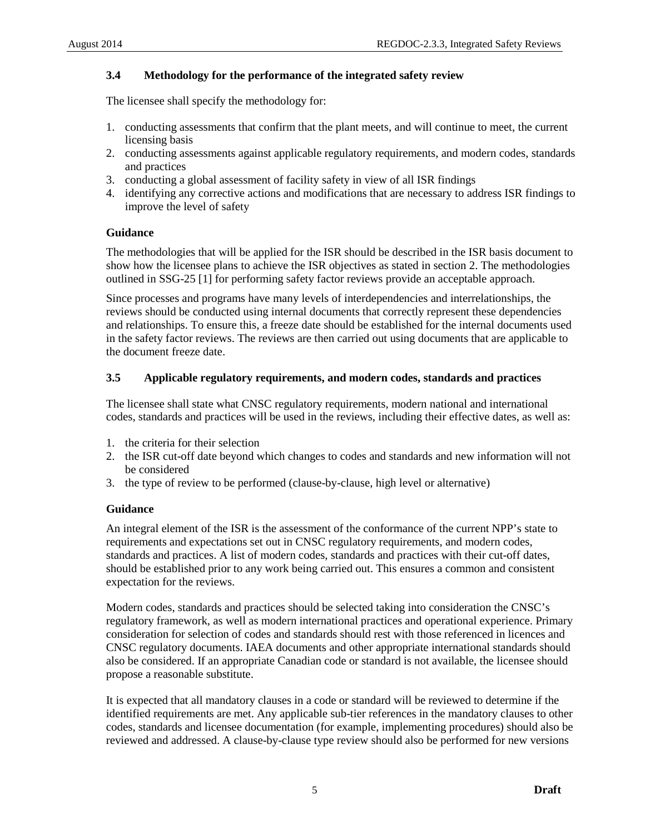## <span id="page-9-0"></span>**3.4 Methodology for the performance of the integrated safety review**

The licensee shall specify the methodology for:

- 1. conducting assessments that confirm that the plant meets, and will continue to meet, the current licensing basis
- 2. conducting assessments against applicable regulatory requirements, and modern codes, standards and practices
- 3. conducting a global assessment of facility safety in view of all ISR findings
- 4. identifying any corrective actions and modifications that are necessary to address ISR findings to improve the level of safety

## **Guidance**

The methodologies that will be applied for the ISR should be described in the ISR basis document to show how the licensee plans to achieve the ISR objectives as stated in section [2.](#page-6-1) The methodologies outlined in SSG-25 [1] for performing safety factor reviews provide an acceptable approach.

Since processes and programs have many levels of interdependencies and interrelationships, the reviews should be conducted using internal documents that correctly represent these dependencies and relationships. To ensure this, a freeze date should be established for the internal documents used in the safety factor reviews. The reviews are then carried out using documents that are applicable to the document freeze date.

## <span id="page-9-1"></span>**3.5 Applicable regulatory requirements, and modern codes, standards and practices**

The licensee shall state what CNSC regulatory requirements, modern national and international codes, standards and practices will be used in the reviews, including their effective dates, as well as:

- 1. the criteria for their selection
- 2. the ISR cut-off date beyond which changes to codes and standards and new information will not be considered
- 3. the type of review to be performed (clause-by-clause, high level or alternative)

# **Guidance**

An integral element of the ISR is the assessment of the conformance of the current NPP's state to requirements and expectations set out in CNSC regulatory requirements, and modern codes, standards and practices. A list of modern codes, standards and practices with their cut-off dates, should be established prior to any work being carried out. This ensures a common and consistent expectation for the reviews.

Modern codes, standards and practices should be selected taking into consideration the CNSC's regulatory framework, as well as modern international practices and operational experience. Primary consideration for selection of codes and standards should rest with those referenced in licences and CNSC regulatory documents. IAEA documents and other appropriate international standards should also be considered. If an appropriate Canadian code or standard is not available, the licensee should propose a reasonable substitute.

It is expected that all mandatory clauses in a code or standard will be reviewed to determine if the identified requirements are met. Any applicable sub-tier references in the mandatory clauses to other codes, standards and licensee documentation (for example, implementing procedures) should also be reviewed and addressed. A clause-by-clause type review should also be performed for new versions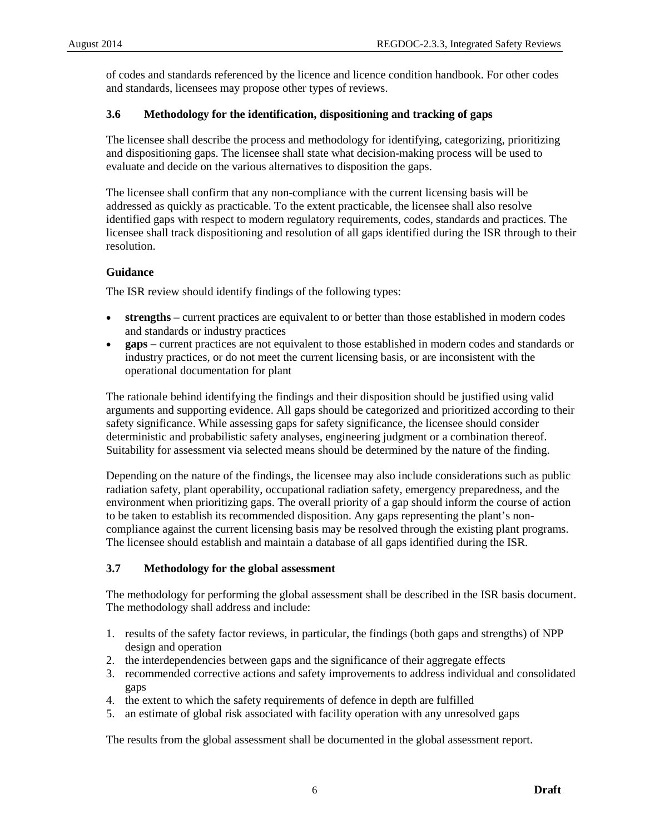of codes and standards referenced by the licence and licence condition handbook. For other codes and standards, licensees may propose other types of reviews.

## <span id="page-10-0"></span>**3.6 Methodology for the identification, dispositioning and tracking of gaps**

The licensee shall describe the process and methodology for identifying, categorizing, prioritizing and dispositioning gaps. The licensee shall state what decision-making process will be used to evaluate and decide on the various alternatives to disposition the gaps.

The licensee shall confirm that any non-compliance with the current licensing basis will be addressed as quickly as practicable. To the extent practicable, the licensee shall also resolve identified gaps with respect to modern regulatory requirements, codes, standards and practices. The licensee shall track dispositioning and resolution of all gaps identified during the ISR through to their resolution.

## **Guidance**

The ISR review should identify findings of the following types:

- **strengths** current practices are equivalent to or better than those established in modern codes and standards or industry practices
- **gaps –** current practices are not equivalent to those established in modern codes and standards or industry practices, or do not meet the current licensing basis, or are inconsistent with the operational documentation for plant

The rationale behind identifying the findings and their disposition should be justified using valid arguments and supporting evidence. All gaps should be categorized and prioritized according to their safety significance. While assessing gaps for safety significance, the licensee should consider deterministic and probabilistic safety analyses, engineering judgment or a combination thereof. Suitability for assessment via selected means should be determined by the nature of the finding.

Depending on the nature of the findings, the licensee may also include considerations such as public radiation safety, plant operability, occupational radiation safety, emergency preparedness, and the environment when prioritizing gaps. The overall priority of a gap should inform the course of action to be taken to establish its recommended disposition. Any gaps representing the plant's noncompliance against the current licensing basis may be resolved through the existing plant programs. The licensee should establish and maintain a database of all gaps identified during the ISR.

## <span id="page-10-1"></span>**3.7 Methodology for the global assessment**

The methodology for performing the global assessment shall be described in the ISR basis document. The methodology shall address and include:

- 1. results of the safety factor reviews, in particular, the findings (both gaps and strengths) of NPP design and operation
- 2. the interdependencies between gaps and the significance of their aggregate effects
- 3. recommended corrective actions and safety improvements to address individual and consolidated gaps
- 4. the extent to which the safety requirements of defence in depth are fulfilled
- 5. an estimate of global risk associated with facility operation with any unresolved gaps

The results from the global assessment shall be documented in the global assessment report.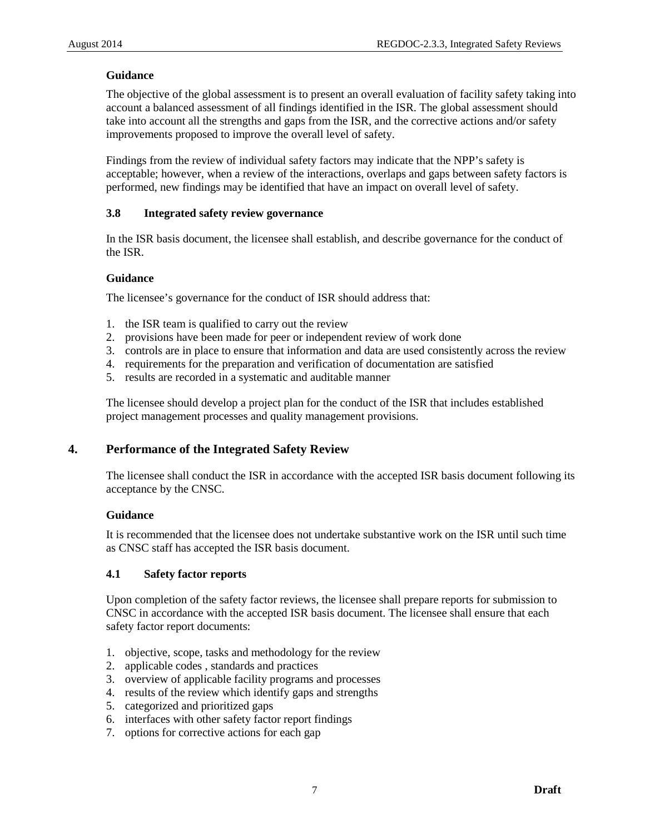# **Guidance**

The objective of the global assessment is to present an overall evaluation of facility safety taking into account a balanced assessment of all findings identified in the ISR. The global assessment should take into account all the strengths and gaps from the ISR, and the corrective actions and/or safety improvements proposed to improve the overall level of safety.

Findings from the review of individual safety factors may indicate that the NPP's safety is acceptable; however, when a review of the interactions, overlaps and gaps between safety factors is performed, new findings may be identified that have an impact on overall level of safety.

# <span id="page-11-0"></span>**3.8 Integrated safety review governance**

In the ISR basis document, the licensee shall establish, and describe governance for the conduct of the ISR.

## **Guidance**

The licensee's governance for the conduct of ISR should address that:

- 1. the ISR team is qualified to carry out the review
- 2. provisions have been made for peer or independent review of work done
- 3. controls are in place to ensure that information and data are used consistently across the review
- 4. requirements for the preparation and verification of documentation are satisfied
- 5. results are recorded in a systematic and auditable manner

The licensee should develop a project plan for the conduct of the ISR that includes established project management processes and quality management provisions.

# <span id="page-11-1"></span>**4. Performance of the Integrated Safety Review**

The licensee shall conduct the ISR in accordance with the accepted ISR basis document following its acceptance by the CNSC.

## **Guidance**

It is recommended that the licensee does not undertake substantive work on the ISR until such time as CNSC staff has accepted the ISR basis document.

## <span id="page-11-2"></span>**4.1 Safety factor reports**

Upon completion of the safety factor reviews, the licensee shall prepare reports for submission to CNSC in accordance with the accepted ISR basis document. The licensee shall ensure that each safety factor report documents:

- 1. objective, scope, tasks and methodology for the review
- 2. applicable codes , standards and practices
- 3. overview of applicable facility programs and processes
- 4. results of the review which identify gaps and strengths
- 5. categorized and prioritized gaps
- 6. interfaces with other safety factor report findings
- 7. options for corrective actions for each gap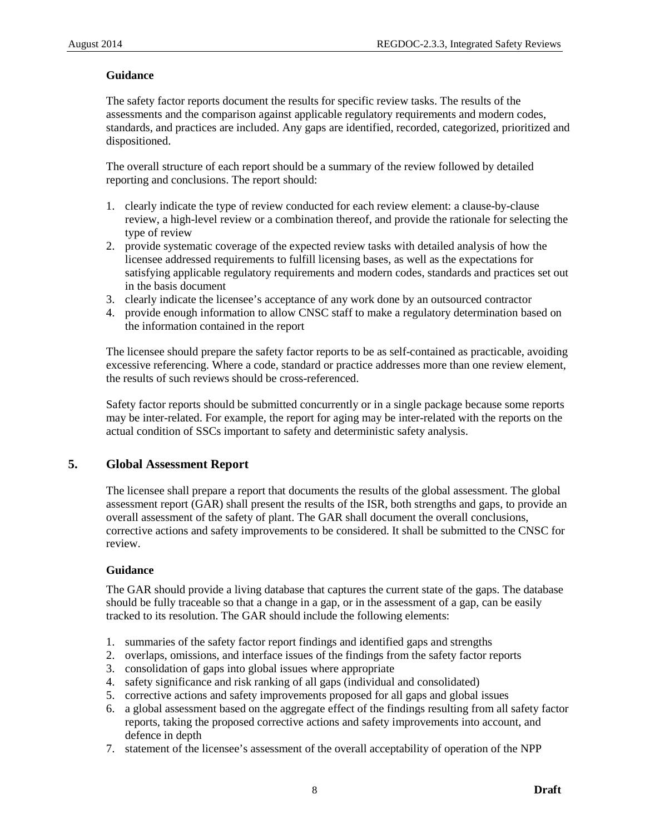# **Guidance**

The safety factor reports document the results for specific review tasks. The results of the assessments and the comparison against applicable regulatory requirements and modern codes, standards, and practices are included. Any gaps are identified, recorded, categorized, prioritized and dispositioned.

The overall structure of each report should be a summary of the review followed by detailed reporting and conclusions. The report should:

- 1. clearly indicate the type of review conducted for each review element: a clause-by-clause review, a high-level review or a combination thereof, and provide the rationale for selecting the type of review
- 2. provide systematic coverage of the expected review tasks with detailed analysis of how the licensee addressed requirements to fulfill licensing bases, as well as the expectations for satisfying applicable regulatory requirements and modern codes, standards and practices set out in the basis document
- 3. clearly indicate the licensee's acceptance of any work done by an outsourced contractor
- 4. provide enough information to allow CNSC staff to make a regulatory determination based on the information contained in the report

The licensee should prepare the safety factor reports to be as self-contained as practicable, avoiding excessive referencing. Where a code, standard or practice addresses more than one review element, the results of such reviews should be cross-referenced.

Safety factor reports should be submitted concurrently or in a single package because some reports may be inter-related. For example, the report for aging may be inter-related with the reports on the actual condition of SSCs important to safety and deterministic safety analysis.

# <span id="page-12-0"></span>**5. Global Assessment Report**

The licensee shall prepare a report that documents the results of the global assessment. The global assessment report (GAR) shall present the results of the ISR, both strengths and gaps, to provide an overall assessment of the safety of plant. The GAR shall document the overall conclusions, corrective actions and safety improvements to be considered. It shall be submitted to the CNSC for review.

# **Guidance**

The GAR should provide a living database that captures the current state of the gaps. The database should be fully traceable so that a change in a gap, or in the assessment of a gap, can be easily tracked to its resolution. The GAR should include the following elements:

- 1. summaries of the safety factor report findings and identified gaps and strengths
- 2. overlaps, omissions, and interface issues of the findings from the safety factor reports
- 3. consolidation of gaps into global issues where appropriate
- 4. safety significance and risk ranking of all gaps (individual and consolidated)
- 5. corrective actions and safety improvements proposed for all gaps and global issues
- 6. a global assessment based on the aggregate effect of the findings resulting from all safety factor reports, taking the proposed corrective actions and safety improvements into account, and defence in depth
- 7. statement of the licensee's assessment of the overall acceptability of operation of the NPP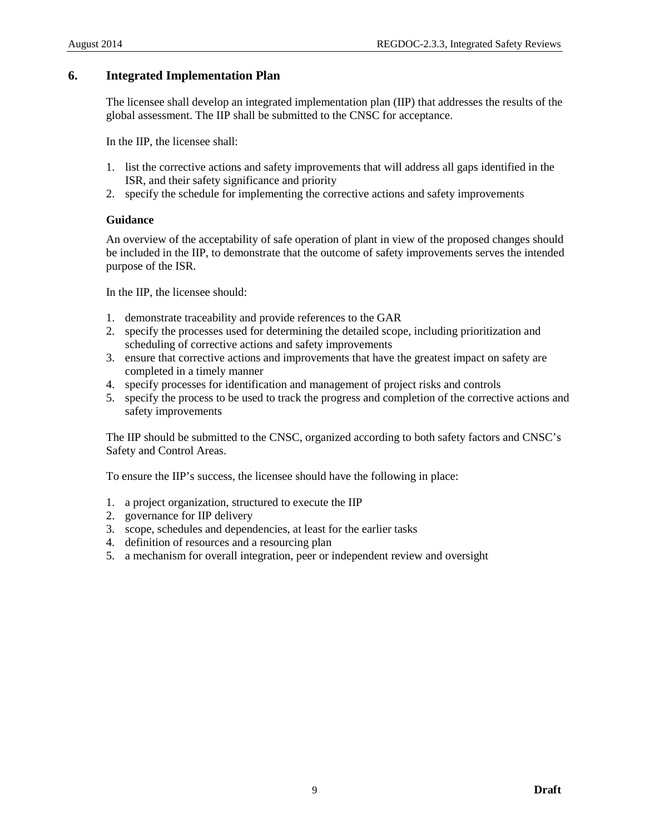# <span id="page-13-0"></span>**6. Integrated Implementation Plan**

The licensee shall develop an integrated implementation plan (IIP) that addresses the results of the global assessment. The IIP shall be submitted to the CNSC for acceptance.

In the IIP, the licensee shall:

- 1. list the corrective actions and safety improvements that will address all gaps identified in the ISR, and their safety significance and priority
- 2. specify the schedule for implementing the corrective actions and safety improvements

## **Guidance**

An overview of the acceptability of safe operation of plant in view of the proposed changes should be included in the IIP, to demonstrate that the outcome of safety improvements serves the intended purpose of the ISR.

In the IIP, the licensee should:

- 1. demonstrate traceability and provide references to the GAR
- 2. specify the processes used for determining the detailed scope, including prioritization and scheduling of corrective actions and safety improvements
- 3. ensure that corrective actions and improvements that have the greatest impact on safety are completed in a timely manner
- 4. specify processes for identification and management of project risks and controls
- 5. specify the process to be used to track the progress and completion of the corrective actions and safety improvements

The IIP should be submitted to the CNSC, organized according to both safety factors and CNSC's Safety and Control Areas.

To ensure the IIP's success, the licensee should have the following in place:

- 1. a project organization, structured to execute the IIP
- 2. governance for IIP delivery
- 3. scope, schedules and dependencies, at least for the earlier tasks
- 4. definition of resources and a resourcing plan
- 5. a mechanism for overall integration, peer or independent review and oversight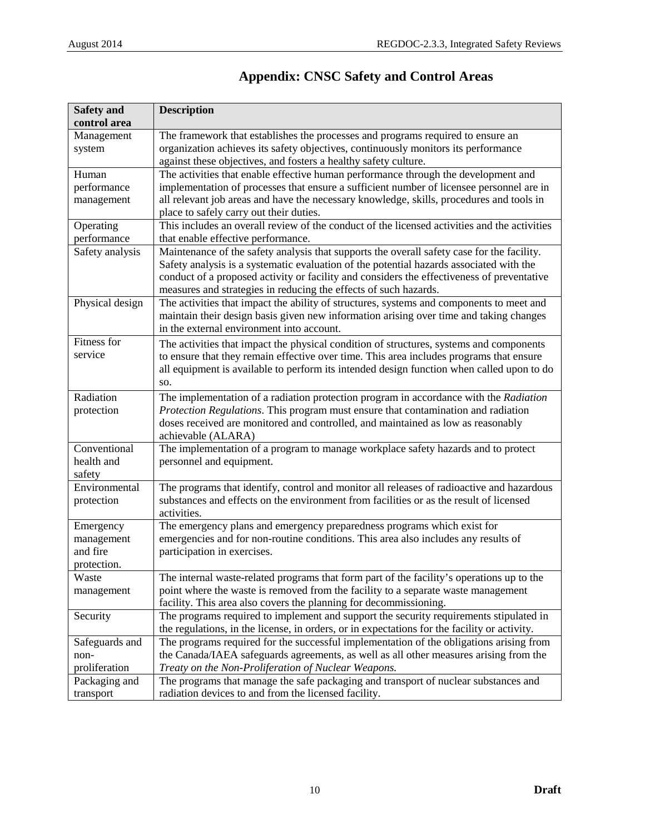<span id="page-14-0"></span>

| <b>Safety and</b>          | <b>Description</b>                                                                                                                                                                                                                                                                                                                                      |
|----------------------------|---------------------------------------------------------------------------------------------------------------------------------------------------------------------------------------------------------------------------------------------------------------------------------------------------------------------------------------------------------|
| control area               |                                                                                                                                                                                                                                                                                                                                                         |
| Management                 | The framework that establishes the processes and programs required to ensure an                                                                                                                                                                                                                                                                         |
| system                     | organization achieves its safety objectives, continuously monitors its performance                                                                                                                                                                                                                                                                      |
|                            | against these objectives, and fosters a healthy safety culture.                                                                                                                                                                                                                                                                                         |
| Human                      | The activities that enable effective human performance through the development and                                                                                                                                                                                                                                                                      |
| performance                | implementation of processes that ensure a sufficient number of licensee personnel are in                                                                                                                                                                                                                                                                |
| management                 | all relevant job areas and have the necessary knowledge, skills, procedures and tools in                                                                                                                                                                                                                                                                |
|                            | place to safely carry out their duties.                                                                                                                                                                                                                                                                                                                 |
| Operating                  | This includes an overall review of the conduct of the licensed activities and the activities                                                                                                                                                                                                                                                            |
| performance                | that enable effective performance.                                                                                                                                                                                                                                                                                                                      |
| Safety analysis            | Maintenance of the safety analysis that supports the overall safety case for the facility.<br>Safety analysis is a systematic evaluation of the potential hazards associated with the<br>conduct of a proposed activity or facility and considers the effectiveness of preventative<br>measures and strategies in reducing the effects of such hazards. |
| Physical design            | The activities that impact the ability of structures, systems and components to meet and<br>maintain their design basis given new information arising over time and taking changes<br>in the external environment into account.                                                                                                                         |
| Fitness for                | The activities that impact the physical condition of structures, systems and components                                                                                                                                                                                                                                                                 |
| service                    | to ensure that they remain effective over time. This area includes programs that ensure                                                                                                                                                                                                                                                                 |
|                            | all equipment is available to perform its intended design function when called upon to do                                                                                                                                                                                                                                                               |
|                            | SO.                                                                                                                                                                                                                                                                                                                                                     |
| Radiation                  | The implementation of a radiation protection program in accordance with the Radiation                                                                                                                                                                                                                                                                   |
| protection                 | Protection Regulations. This program must ensure that contamination and radiation                                                                                                                                                                                                                                                                       |
|                            | doses received are monitored and controlled, and maintained as low as reasonably                                                                                                                                                                                                                                                                        |
|                            | achievable (ALARA)                                                                                                                                                                                                                                                                                                                                      |
| Conventional<br>health and | The implementation of a program to manage workplace safety hazards and to protect                                                                                                                                                                                                                                                                       |
| safety                     | personnel and equipment.                                                                                                                                                                                                                                                                                                                                |
| Environmental              | The programs that identify, control and monitor all releases of radioactive and hazardous                                                                                                                                                                                                                                                               |
| protection                 | substances and effects on the environment from facilities or as the result of licensed                                                                                                                                                                                                                                                                  |
|                            | activities.                                                                                                                                                                                                                                                                                                                                             |
| Emergency                  | The emergency plans and emergency preparedness programs which exist for                                                                                                                                                                                                                                                                                 |
| management<br>and fire     | emergencies and for non-routine conditions. This area also includes any results of                                                                                                                                                                                                                                                                      |
| protection.                | participation in exercises.                                                                                                                                                                                                                                                                                                                             |
| Waste                      | The internal waste-related programs that form part of the facility's operations up to the                                                                                                                                                                                                                                                               |
| management                 | point where the waste is removed from the facility to a separate waste management                                                                                                                                                                                                                                                                       |
|                            | facility. This area also covers the planning for decommissioning.                                                                                                                                                                                                                                                                                       |
| Security                   | The programs required to implement and support the security requirements stipulated in                                                                                                                                                                                                                                                                  |
|                            | the regulations, in the license, in orders, or in expectations for the facility or activity.                                                                                                                                                                                                                                                            |
| Safeguards and             | The programs required for the successful implementation of the obligations arising from                                                                                                                                                                                                                                                                 |
| non-                       | the Canada/IAEA safeguards agreements, as well as all other measures arising from the                                                                                                                                                                                                                                                                   |
| proliferation              | Treaty on the Non-Proliferation of Nuclear Weapons.                                                                                                                                                                                                                                                                                                     |
| Packaging and              | The programs that manage the safe packaging and transport of nuclear substances and                                                                                                                                                                                                                                                                     |
| transport                  | radiation devices to and from the licensed facility.                                                                                                                                                                                                                                                                                                    |

# **Appendix: CNSC Safety and Control Areas**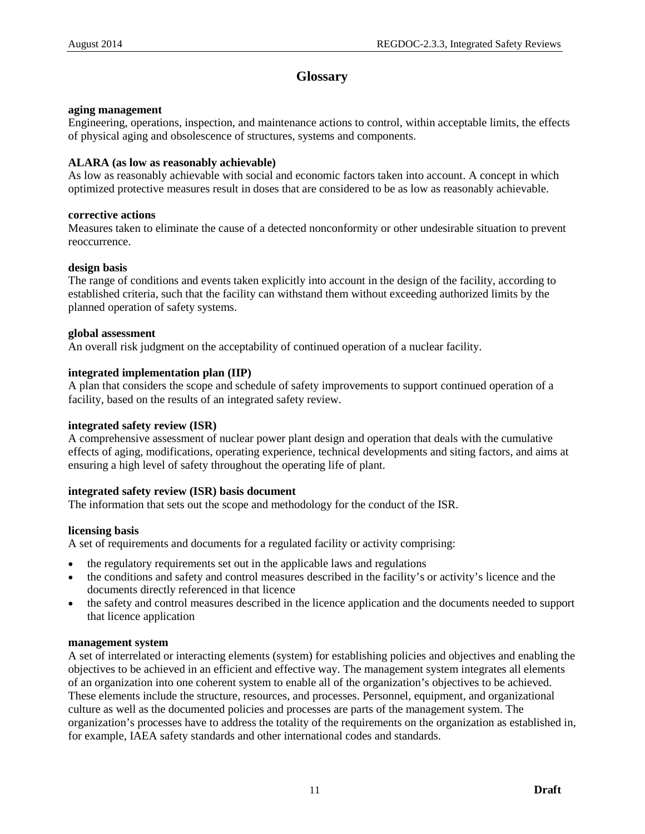# **Glossary**

## <span id="page-15-0"></span>**aging management**

Engineering, operations, inspection, and maintenance actions to control, within acceptable limits, the effects of physical aging and obsolescence of structures, systems and components.

# **ALARA (as low as reasonably achievable)**

As low as reasonably achievable with social and economic factors taken into account. A concept in which optimized protective measures result in doses that are considered to be as low as reasonably achievable.

# **corrective actions**

Measures taken to eliminate the cause of a detected nonconformity or other undesirable situation to prevent reoccurrence.

## **design basis**

The range of conditions and events taken explicitly into account in the design of the facility, according to established criteria, such that the facility can withstand them without exceeding authorized limits by the planned operation of safety systems.

# **global assessment**

An overall risk judgment on the acceptability of continued operation of a nuclear facility.

# **integrated implementation plan (IIP)**

A plan that considers the scope and schedule of safety improvements to support continued operation of a facility, based on the results of an integrated safety review.

## **integrated safety review (ISR)**

A comprehensive assessment of nuclear power plant design and operation that deals with the cumulative effects of aging, modifications, operating experience, technical developments and siting factors, and aims at ensuring a high level of safety throughout the operating life of plant.

# **integrated safety review (ISR) basis document**

The information that sets out the scope and methodology for the conduct of the ISR.

## **licensing basis**

A set of requirements and documents for a regulated facility or activity comprising:

- the regulatory requirements set out in the applicable laws and regulations
- the conditions and safety and control measures described in the facility's or activity's licence and the documents directly referenced in that licence
- the safety and control measures described in the licence application and the documents needed to support that licence application

## **management system**

A set of interrelated or interacting elements (system) for establishing policies and objectives and enabling the objectives to be achieved in an efficient and effective way. The management system integrates all elements of an organization into one coherent system to enable all of the organization's objectives to be achieved. These elements include the structure, resources, and processes. Personnel, equipment, and organizational culture as well as the documented policies and processes are parts of the management system. The organization's processes have to address the totality of the requirements on the organization as established in, for example, IAEA safety standards and other international codes and standards.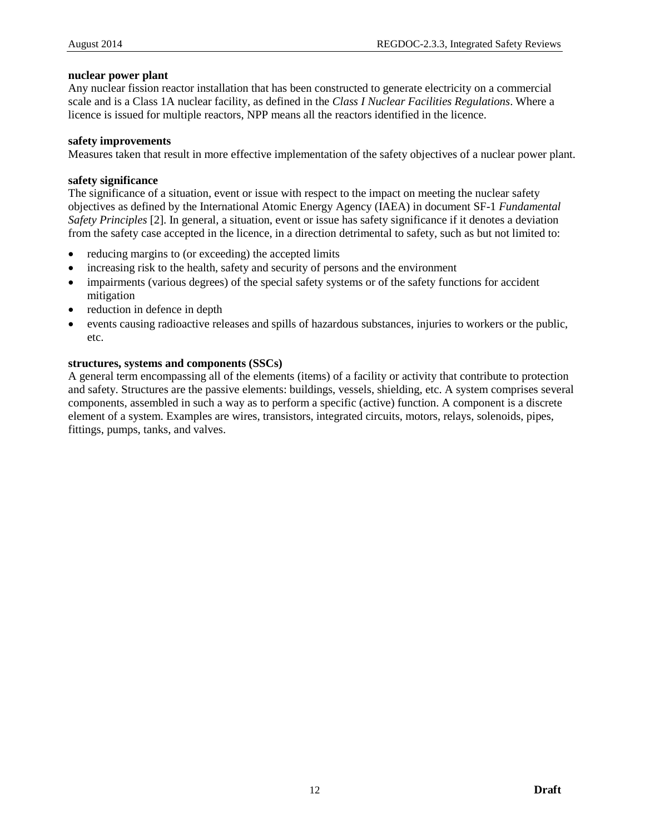#### **nuclear power plant**

Any nuclear fission reactor installation that has been constructed to generate electricity on a commercial scale and is a Class 1A nuclear facility, as defined in the *Class I Nuclear Facilities Regulations*. Where a licence is issued for multiple reactors, NPP means all the reactors identified in the licence.

#### **safety improvements**

Measures taken that result in more effective implementation of the safety objectives of a nuclear power plant.

#### **safety significance**

The significance of a situation, event or issue with respect to the impact on meeting the nuclear safety objectives as defined by the International Atomic Energy Agency (IAEA) in document SF-1 *Fundamental Safety Principles* [2]. In general, a situation, event or issue has safety significance if it denotes a deviation from the safety case accepted in the licence, in a direction detrimental to safety, such as but not limited to:

- reducing margins to (or exceeding) the accepted limits
- increasing risk to the health, safety and security of persons and the environment
- impairments (various degrees) of the special safety systems or of the safety functions for accident mitigation
- reduction in defence in depth
- events causing radioactive releases and spills of hazardous substances, injuries to workers or the public, etc.

#### **structures, systems and components (SSCs)**

A general term encompassing all of the elements (items) of a facility or activity that contribute to protection and safety. Structures are the passive elements: buildings, vessels, shielding, etc. A system comprises several components, assembled in such a way as to perform a specific (active) function. A component is a discrete element of a system. Examples are wires, transistors, integrated circuits, motors, relays, solenoids, pipes, fittings, pumps, tanks, and valves.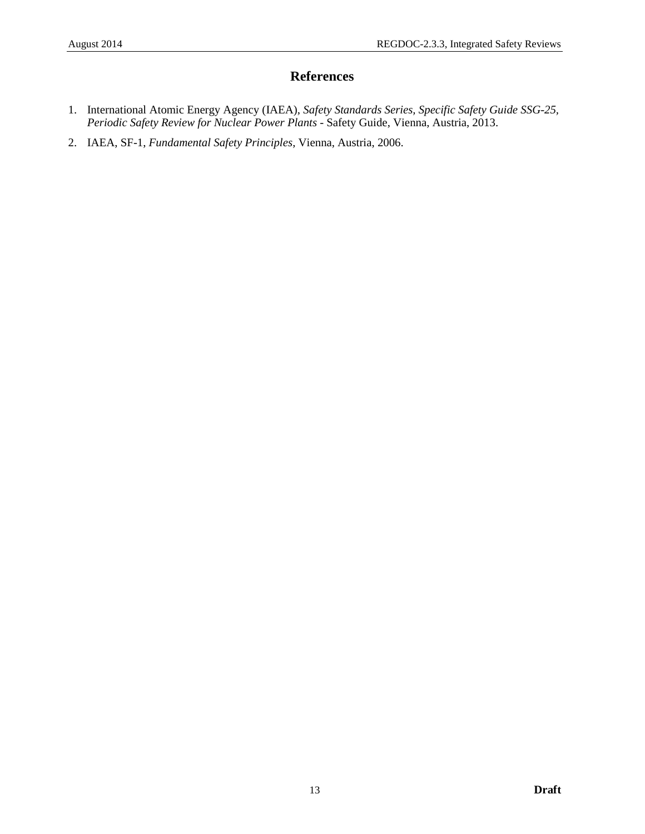# **References**

- <span id="page-17-0"></span>1. International Atomic Energy Agency (IAEA), *Safety Standards Series, Specific Safety Guide SSG-25, Periodic Safety Review for Nuclear Power Plants* - Safety Guide, Vienna, Austria, 2013.
- 2. IAEA, SF-1, *Fundamental Safety Principles*, Vienna, Austria, 2006.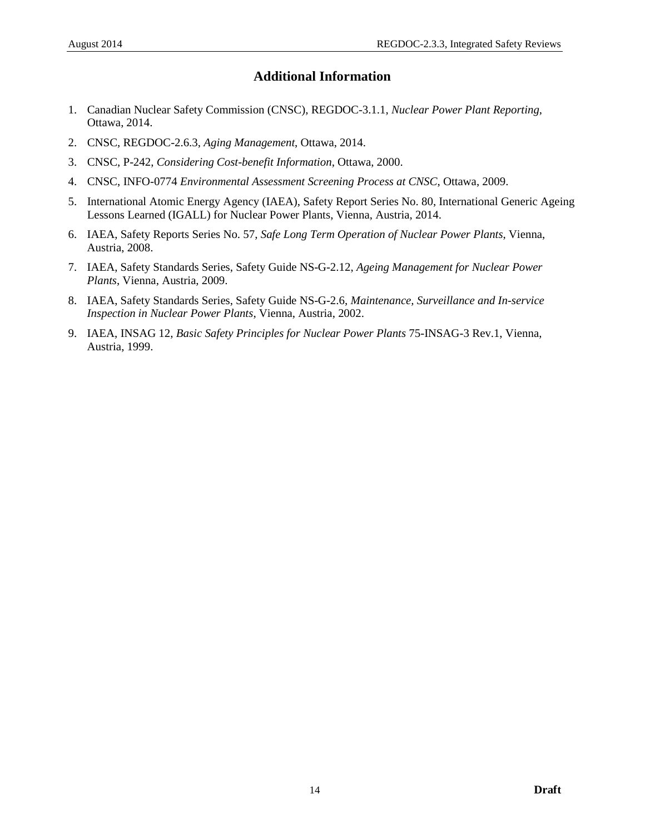# **Additional Information**

- <span id="page-18-0"></span>1. Canadian Nuclear Safety Commission (CNSC), REGDOC-3.1.1, *Nuclear Power Plant Reporting*, Ottawa, 2014.
- 2. CNSC, REGDOC-2.6.3, *Aging Management*, Ottawa, 2014.
- 3. CNSC, P-242, *Considering Cost-benefit Information*, Ottawa, 2000.
- 4. CNSC, INFO-0774 *Environmental Assessment Screening Process at CNSC*, Ottawa, 2009.
- 5. International Atomic Energy Agency (IAEA), Safety Report Series No. 80, International Generic Ageing Lessons Learned (IGALL) for Nuclear Power Plants, Vienna, Austria, 2014.
- 6. IAEA, Safety Reports Series No. 57, *Safe Long Term Operation of Nuclear Power Plants*, Vienna, Austria, 2008.
- 7. IAEA, Safety Standards Series, Safety Guide NS-G-2.12, *Ageing Management for Nuclear Power Plants*, Vienna, Austria, 2009.
- 8. IAEA, Safety Standards Series, Safety Guide NS-G-2.6, *Maintenance, Surveillance and In-service Inspection in Nuclear Power Plants*, Vienna, Austria, 2002.
- 9. IAEA, INSAG 12, *Basic Safety Principles for Nuclear Power Plants* 75-INSAG-3 Rev.1, Vienna, Austria, 1999.